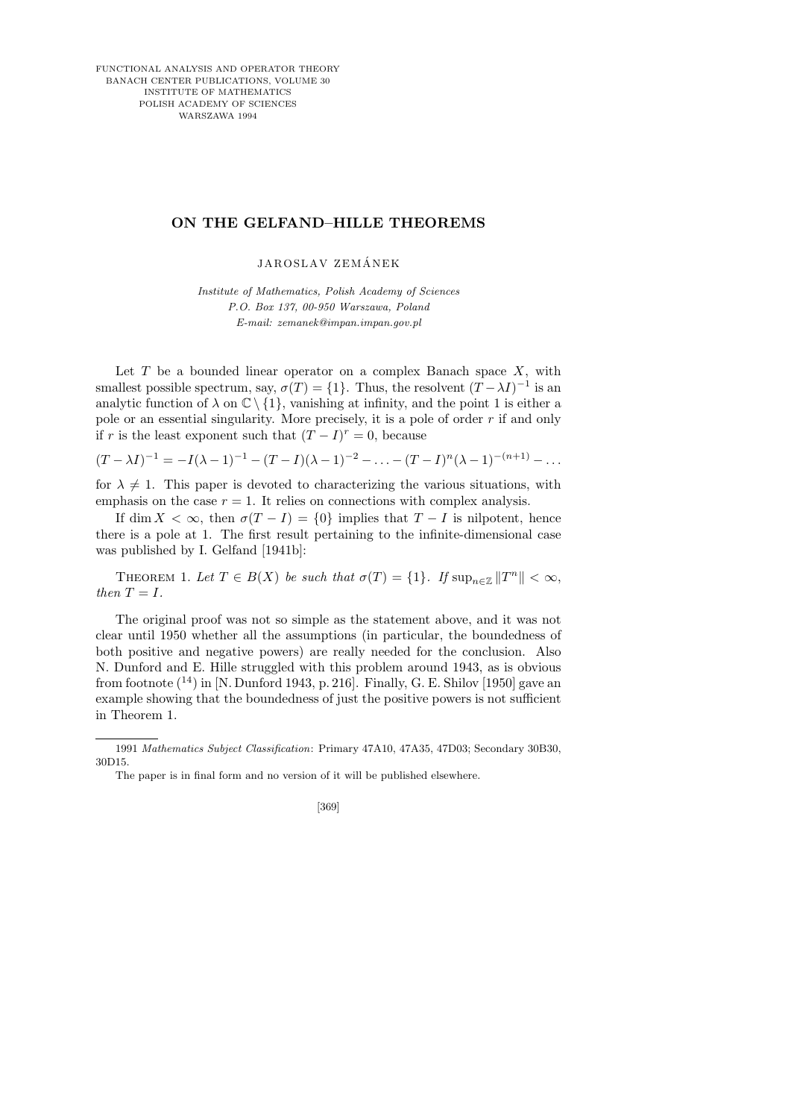FUNCTIONAL ANALYSIS AND OPERATOR THEORY BANACH CENTER PUBLICATIONS, VOLUME 30 INSTITUTE OF MATHEMATICS POLISH ACADEMY OF SCIENCES WARSZAWA 1994

## **ON THE GELFAND–HILLE THEOREMS**

JAROSLAV ZEMÁNEK

*Institute of Mathematics, Polish Academy of Sciences P.O. Box 137, 00-950 Warszawa, Poland E-mail: zemanek@impan.impan.gov.pl*

Let  $T$  be a bounded linear operator on a complex Banach space  $X$ , with smallest possible spectrum, say,  $\sigma(T) = \{1\}$ . Thus, the resolvent  $(T - \lambda I)^{-1}$  is an analytic function of  $\lambda$  on  $\mathbb{C} \setminus \{1\}$ , vanishing at infinity, and the point 1 is either a pole or an essential singularity. More precisely, it is a pole of order  $r$  if and only if r is the least exponent such that  $(T - I)^r = 0$ , because

 $(T - \lambda I)^{-1} = -I(\lambda - 1)^{-1} - (T - I)(\lambda - 1)^{-2} - \ldots - (T - I)^n(\lambda - 1)^{-(n+1)} - \ldots$ 

for  $\lambda \neq 1$ . This paper is devoted to characterizing the various situations, with emphasis on the case  $r = 1$ . It relies on connections with complex analysis.

If dim  $X < \infty$ , then  $\sigma(T - I) = \{0\}$  implies that  $T - I$  is nilpotent, hence there is a pole at 1. The first result pertaining to the infinite-dimensional case was published by I. Gelfand [1941b]:

THEOREM 1. Let  $T \in B(X)$  be such that  $\sigma(T) = \{1\}$ . If  $\sup_{n \in \mathbb{Z}} ||T^n|| < \infty$ , then  $T = I$ .

The original proof was not so simple as the statement above, and it was not clear until 1950 whether all the assumptions (in particular, the boundedness of both positive and negative powers) are really needed for the conclusion. Also N. Dunford and E. Hille struggled with this problem around 1943, as is obvious from footnote  $(^{14})$  in [N. Dunford 1943, p. 216]. Finally, G. E. Shilov [1950] gave an example showing that the boundedness of just the positive powers is not sufficient in Theorem 1.

The paper is in final form and no version of it will be published elsewhere.



<sup>1991</sup> *Mathematics Subject Classification*: Primary 47A10, 47A35, 47D03; Secondary 30B30, 30D15.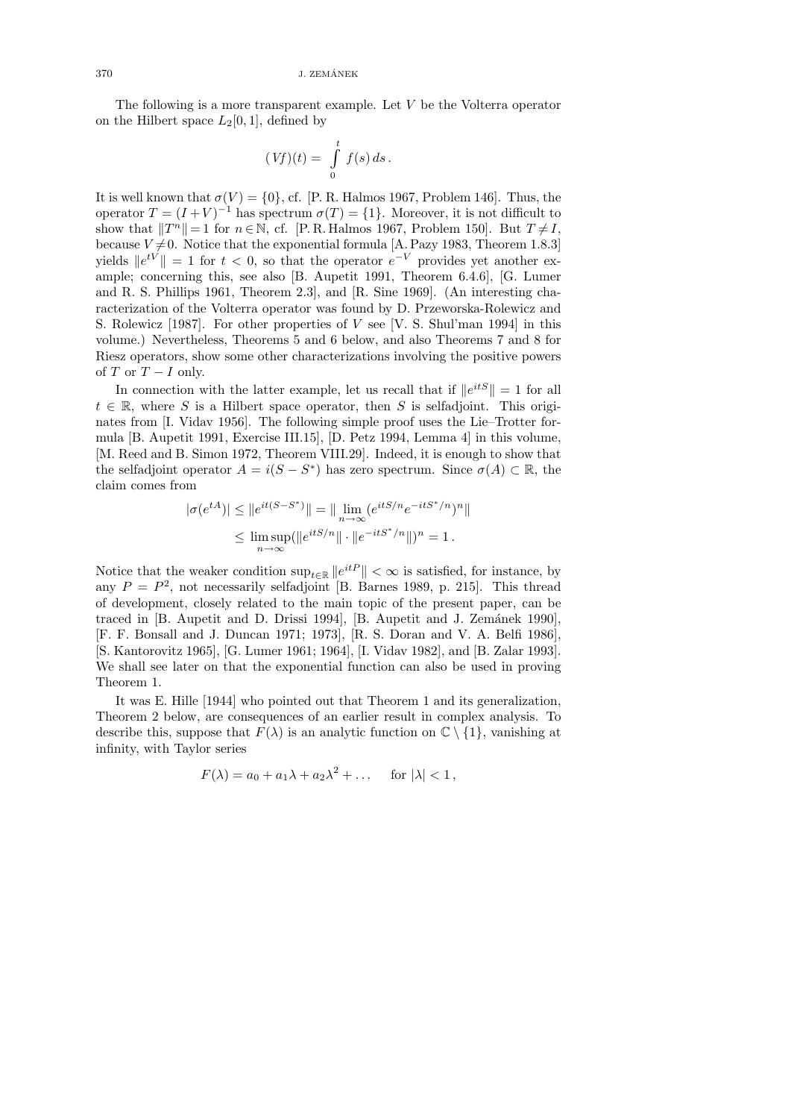$370$  J. ZEMÁNEK

The following is a more transparent example. Let  $V$  be the Volterra operator on the Hilbert space  $L_2[0,1]$ , defined by

$$
(Vf)(t) = \int\limits_0^t f(s) \, ds \, .
$$

It is well known that  $\sigma(V) = \{0\}$ , cf. [P. R. Halmos 1967, Problem 146]. Thus, the operator  $T = (I + V)^{-1}$  has spectrum  $\sigma(T) = \{1\}$ . Moreover, it is not difficult to show that  $||T^n|| = 1$  for  $n \in \mathbb{N}$ , cf. [P. R. Halmos 1967, Problem 150]. But  $T \neq I$ , because  $V\neq 0$ . Notice that the exponential formula [A. Pazy 1983, Theorem 1.8.3] yields  $||e^{tV}|| = 1$  for  $t < 0$ , so that the operator  $e^{-V}$  provides yet another example; concerning this, see also [B. Aupetit 1991, Theorem 6.4.6], [G. Lumer and R. S. Phillips 1961, Theorem 2.3], and [R. Sine 1969]. (An interesting characterization of the Volterra operator was found by D. Przeworska-Rolewicz and S. Rolewicz [1987]. For other properties of V see [V. S. Shul'man 1994] in this volume.) Nevertheless, Theorems 5 and 6 below, and also Theorems 7 and 8 for Riesz operators, show some other characterizations involving the positive powers of T or  $T - I$  only.

In connection with the latter example, let us recall that if  $||e^{itS}|| = 1$  for all  $t \in \mathbb{R}$ , where S is a Hilbert space operator, then S is selfadjoint. This originates from [I. Vidav 1956]. The following simple proof uses the Lie–Trotter formula [B. Aupetit 1991, Exercise III.15], [D. Petz 1994, Lemma 4] in this volume, [M. Reed and B. Simon 1972, Theorem VIII.29]. Indeed, it is enough to show that the selfadjoint operator  $A = i(S - S^*)$  has zero spectrum. Since  $\sigma(A) \subset \mathbb{R}$ , the claim comes from

$$
|\sigma(e^{tA})| \le ||e^{it(S-S^*)}|| = ||\lim_{n \to \infty} (e^{itS/n}e^{-itS^*/n})^n||
$$
  

$$
\le \limsup_{n \to \infty} (||e^{itS/n}|| \cdot ||e^{-itS^*/n}||)^n = 1.
$$

Notice that the weaker condition  $\sup_{t\in\mathbb{R}}||e^{itP}|| < \infty$  is satisfied, for instance, by any  $P = P<sup>2</sup>$ , not necessarily selfadjoint [B. Barnes 1989, p. 215]. This thread of development, closely related to the main topic of the present paper, can be traced in [B. Aupetit and D. Drissi 1994], [B. Aupetit and J. Zemánek 1990], [F. F. Bonsall and J. Duncan 1971; 1973], [R. S. Doran and V. A. Belfi 1986], [S. Kantorovitz 1965], [G. Lumer 1961; 1964], [I. Vidav 1982], and [B. Zalar 1993]. We shall see later on that the exponential function can also be used in proving Theorem 1.

It was E. Hille [1944] who pointed out that Theorem 1 and its generalization, Theorem 2 below, are consequences of an earlier result in complex analysis. To describe this, suppose that  $F(\lambda)$  is an analytic function on  $\mathbb{C} \setminus \{1\}$ , vanishing at infinity, with Taylor series

$$
F(\lambda) = a_0 + a_1 \lambda + a_2 \lambda^2 + \dots \quad \text{for } |\lambda| < 1,
$$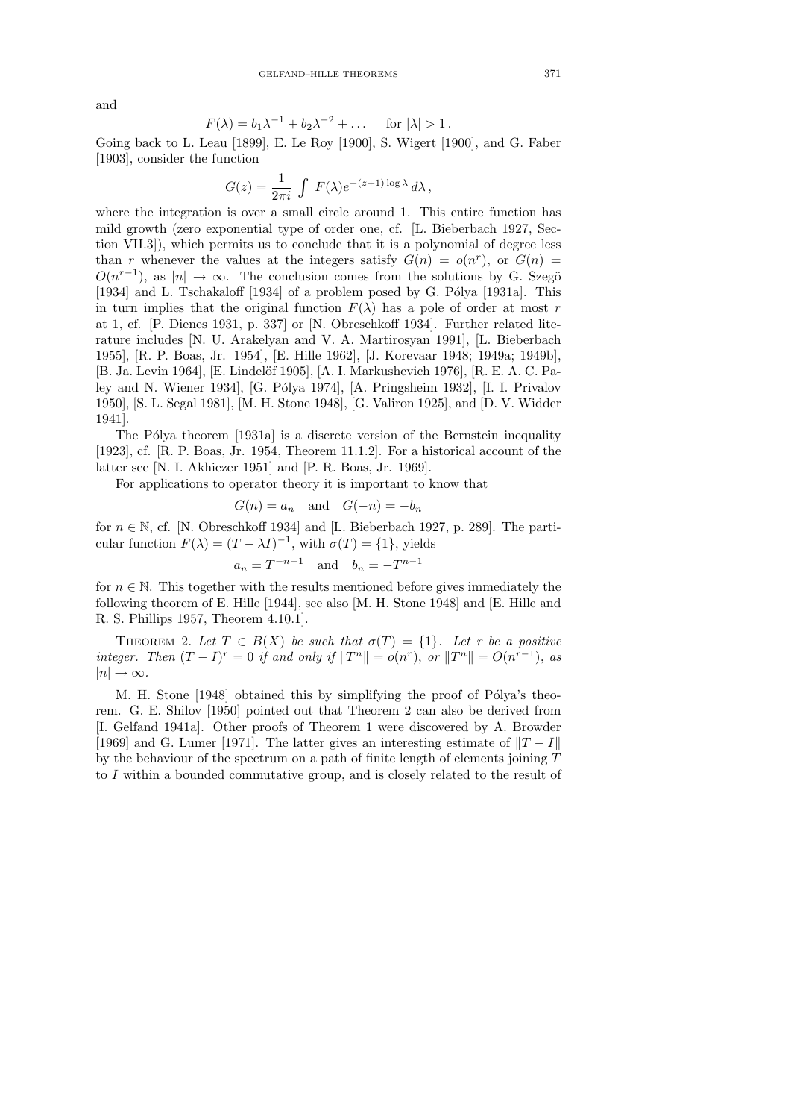and

$$
F(\lambda) = b_1 \lambda^{-1} + b_2 \lambda^{-2} + \dots \quad \text{for } |\lambda| > 1.
$$

Going back to L. Leau [1899], E. Le Roy [1900], S. Wigert [1900], and G. Faber [1903], consider the function

$$
G(z) = \frac{1}{2\pi i} \int F(\lambda) e^{-(z+1)\log \lambda} d\lambda,
$$

where the integration is over a small circle around 1. This entire function has mild growth (zero exponential type of order one, cf. [L. Bieberbach 1927, Section VII.3]), which permits us to conclude that it is a polynomial of degree less than r whenever the values at the integers satisfy  $G(n) = o(n^r)$ , or  $G(n) =$  $O(n^{r-1})$ , as  $|n| \to \infty$ . The conclusion comes from the solutions by G. Szegö [1934] and L. Tschakaloff  $[1934]$  of a problem posed by G. Pólya [1931a]. This in turn implies that the original function  $F(\lambda)$  has a pole of order at most r at 1, cf. [P. Dienes 1931, p. 337] or [N. Obreschkoff 1934]. Further related literature includes [N. U. Arakelyan and V. A. Martirosyan 1991], [L. Bieberbach 1955], [R. P. Boas, Jr. 1954], [E. Hille 1962], [J. Korevaar 1948; 1949a; 1949b], [B. Ja. Levin 1964], [E. Lindelöf 1905], [A. I. Markushevich 1976], [R. E. A. C. Paley and N. Wiener 1934], [G. Pólya 1974], [A. Pringsheim 1932], [I. I. Privalov 1950], [S. L. Segal 1981], [M. H. Stone 1948], [G. Valiron 1925], and [D. V. Widder 1941].

The Pólya theorem [1931a] is a discrete version of the Bernstein inequality [1923], cf. [R. P. Boas, Jr. 1954, Theorem 11.1.2]. For a historical account of the latter see [N. I. Akhiezer 1951] and [P. R. Boas, Jr. 1969].

For applications to operator theory it is important to know that

$$
G(n) = a_n \quad \text{and} \quad G(-n) = -b_n
$$

for  $n \in \mathbb{N}$ , cf. [N. Obreschkoff 1934] and [L. Bieberbach 1927, p. 289]. The particular function  $F(\lambda) = (T - \lambda I)^{-1}$ , with  $\sigma(T) = \{1\}$ , yields

$$
a_n = T^{-n-1} \quad \text{and} \quad b_n = -T^{n-1}
$$

for  $n \in \mathbb{N}$ . This together with the results mentioned before gives immediately the following theorem of E. Hille [1944], see also [M. H. Stone 1948] and [E. Hille and R. S. Phillips 1957, Theorem 4.10.1].

THEOREM 2. Let  $T \in B(X)$  be such that  $\sigma(T) = \{1\}$ . Let r be a positive integer. Then  $(T - I)^r = 0$  if and only if  $||T^n|| = o(n^r)$ , or  $||T^n|| = O(n^{r-1})$ , as  $|n| \rightarrow \infty$ .

M. H. Stone [1948] obtained this by simplifying the proof of Pólya's theorem. G. E. Shilov [1950] pointed out that Theorem 2 can also be derived from [I. Gelfand 1941a]. Other proofs of Theorem 1 were discovered by A. Browder [1969] and G. Lumer [1971]. The latter gives an interesting estimate of  $||T - I||$ by the behaviour of the spectrum on a path of finite length of elements joining T to I within a bounded commutative group, and is closely related to the result of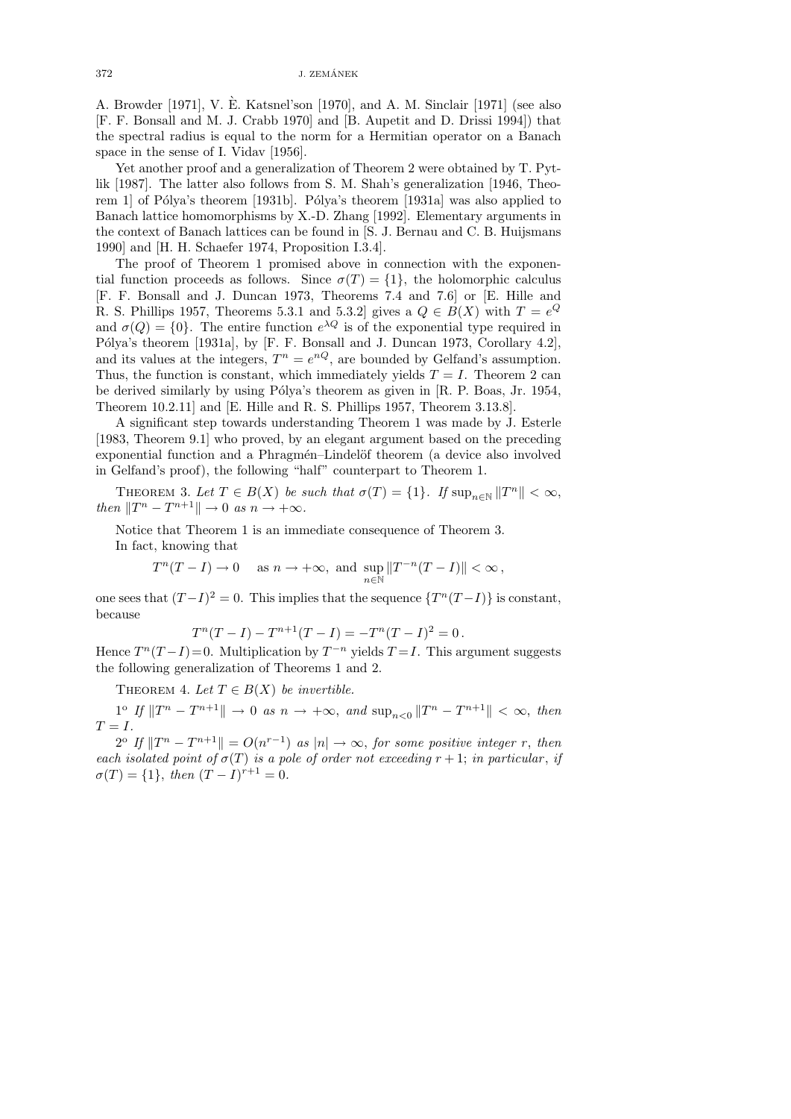$372$  J. ZEMÁNEK

A. Browder [1971], V. E. Katsnel'son [1970], and A. M. Sinclair [1971] (see also ` [F. F. Bonsall and M. J. Crabb 1970] and [B. Aupetit and D. Drissi 1994]) that the spectral radius is equal to the norm for a Hermitian operator on a Banach space in the sense of I. Vidav [1956].

Yet another proof and a generalization of Theorem 2 were obtained by T. Pytlik [1987]. The latter also follows from S. M. Shah's generalization [1946, Theorem 1 of Pólya's theorem [1931b]. Pólya's theorem [1931a] was also applied to Banach lattice homomorphisms by X.-D. Zhang [1992]. Elementary arguments in the context of Banach lattices can be found in [S. J. Bernau and C. B. Huijsmans 1990] and [H. H. Schaefer 1974, Proposition I.3.4].

The proof of Theorem 1 promised above in connection with the exponential function proceeds as follows. Since  $\sigma(T) = \{1\}$ , the holomorphic calculus [F. F. Bonsall and J. Duncan 1973, Theorems 7.4 and 7.6] or [E. Hille and R. S. Phillips 1957, Theorems 5.3.1 and 5.3.2 gives a  $Q \in B(X)$  with  $T = e^{Q}$ and  $\sigma(Q) = \{0\}$ . The entire function  $e^{\lambda Q}$  is of the exponential type required in Pólya's theorem [1931a], by [F. F. Bonsall and J. Duncan 1973, Corollary 4.2], and its values at the integers,  $T^n = e^{nQ}$ , are bounded by Gelfand's assumption. Thus, the function is constant, which immediately yields  $T = I$ . Theorem 2 can be derived similarly by using Pólya's theorem as given in [R. P. Boas, Jr. 1954, Theorem 10.2.11] and [E. Hille and R. S. Phillips 1957, Theorem 3.13.8].

A significant step towards understanding Theorem 1 was made by J. Esterle [1983, Theorem 9.1] who proved, by an elegant argument based on the preceding exponential function and a Phragmén–Lindelöf theorem (a device also involved in Gelfand's proof), the following "half" counterpart to Theorem 1.

THEOREM 3. Let  $T \in B(X)$  be such that  $\sigma(T) = \{1\}$ . If  $\sup_{n \in \mathbb{N}} ||T^n|| < \infty$ , then  $||T^n - T^{n+1}|| \to 0$  as  $n \to +\infty$ .

Notice that Theorem 1 is an immediate consequence of Theorem 3. In fact, knowing that

$$
T^n(T - I) \to 0 \quad \text{ as } n \to +\infty, \text{ and } \sup_{n \in \mathbb{N}} ||T^{-n}(T - I)|| < \infty,
$$

one sees that  $(T-I)^2 = 0$ . This implies that the sequence  $\{T^n(T-I)\}\$ is constant, because

$$
T^{n}(T - I) - T^{n+1}(T - I) = -T^{n}(T - I)^{2} = 0.
$$

Hence  $T^{n}(T-I)=0$ . Multiplication by  $T^{-n}$  yields  $T=I$ . This argument suggests the following generalization of Theorems 1 and 2.

THEOREM 4. Let  $T \in B(X)$  be invertible.

 $1^{\circ}$  If  $||T^n - T^{n+1}|| \to 0$  as  $n \to +\infty$ , and  $\sup_{n < 0} ||T^n - T^{n+1}|| < \infty$ , then  $T = I$ .

 $2^{\circ}$  If  $||T^n - T^{n+1}|| = O(n^{r-1})$  as  $|n| \to \infty$ , for some positive integer r, then each isolated point of  $\sigma(T)$  is a pole of order not exceeding  $r + 1$ ; in particular, if  $\sigma(T) = \{1\}, \text{ then } (T - I)^{r+1} = 0.$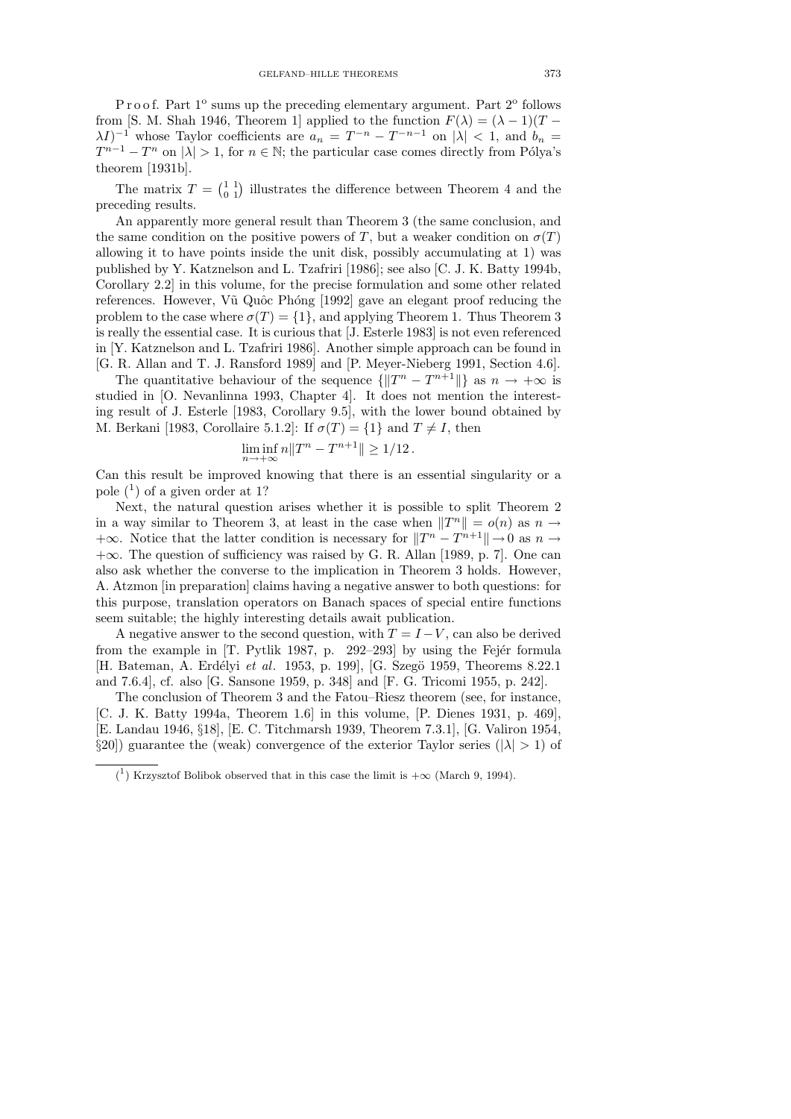Proof. Part 1<sup>o</sup> sums up the preceding elementary argument. Part 2<sup>o</sup> follows from [S. M. Shah 1946, Theorem 1] applied to the function  $F(\lambda) = (\lambda - 1)(T \lambda I$ <sup>-1</sup> whose Taylor coefficients are  $a_n = T^{-n} - T^{-n-1}$  on  $|\lambda| < 1$ , and  $b_n =$  $T^{n-1} - T^n$  on  $|\lambda| > 1$ , for  $n \in \mathbb{N}$ ; the particular case comes directly from Pólya's theorem [1931b].

The matrix  $T = \begin{pmatrix} 1 & 1 \\ 0 & 1 \end{pmatrix}$  illustrates the difference between Theorem 4 and the preceding results.

An apparently more general result than Theorem 3 (the same conclusion, and the same condition on the positive powers of T, but a weaker condition on  $\sigma(T)$ allowing it to have points inside the unit disk, possibly accumulating at 1) was published by Y. Katznelson and L. Tzafriri [1986]; see also [C. J. K. Batty 1994b, Corollary 2.2] in this volume, for the precise formulation and some other related references. However, Vũ Quốc Phóng [1992] gave an elegant proof reducing the problem to the case where  $\sigma(T) = \{1\}$ , and applying Theorem 1. Thus Theorem 3 is really the essential case. It is curious that [J. Esterle 1983] is not even referenced in [Y. Katznelson and L. Tzafriri 1986]. Another simple approach can be found in [G. R. Allan and T. J. Ransford 1989] and [P. Meyer-Nieberg 1991, Section 4.6].

The quantitative behaviour of the sequence  $\{||T^n - T^{n+1}||\}$  as  $n \to +\infty$  is studied in [O. Nevanlinna 1993, Chapter 4]. It does not mention the interesting result of J. Esterle [1983, Corollary 9.5], with the lower bound obtained by M. Berkani [1983, Corollaire 5.1.2]: If  $\sigma(T) = \{1\}$  and  $T \neq I$ , then

$$
\liminf_{n \to +\infty} n ||T^n - T^{n+1}|| \ge 1/12.
$$

Can this result be improved knowing that there is an essential singularity or a pole  $(1)$  of a given order at 1?

Next, the natural question arises whether it is possible to split Theorem 2 in a way similar to Theorem 3, at least in the case when  $||T^n|| = o(n)$  as  $n \to \infty$  $+\infty$ . Notice that the latter condition is necessary for  $||T^n - T^{n+1}|| \to 0$  as  $n \to \infty$ +∞. The question of sufficiency was raised by G. R. Allan [1989, p. 7]. One can also ask whether the converse to the implication in Theorem 3 holds. However, A. Atzmon [in preparation] claims having a negative answer to both questions: for this purpose, translation operators on Banach spaces of special entire functions seem suitable; the highly interesting details await publication.

A negative answer to the second question, with  $T = I - V$ , can also be derived from the example in  $[T.$  Pytlik 1987, p. 292–293 by using the Fejér formula [H. Bateman, A. Erdélyi et al. 1953, p. 199], [G. Szegö 1959, Theorems 8.22.1 and 7.6.4], cf. also [G. Sansone 1959, p. 348] and [F. G. Tricomi 1955, p. 242].

The conclusion of Theorem 3 and the Fatou–Riesz theorem (see, for instance, [C. J. K. Batty 1994a, Theorem 1.6] in this volume, [P. Dienes 1931, p. 469], [E. Landau 1946, §18], [E. C. Titchmarsh 1939, Theorem 7.3.1], [G. Valiron 1954, §20]) guarantee the (weak) convergence of the exterior Taylor series ( $|\lambda| > 1$ ) of

<sup>&</sup>lt;sup>(1</sup>) Krzysztof Bolibok observed that in this case the limit is  $+\infty$  (March 9, 1994).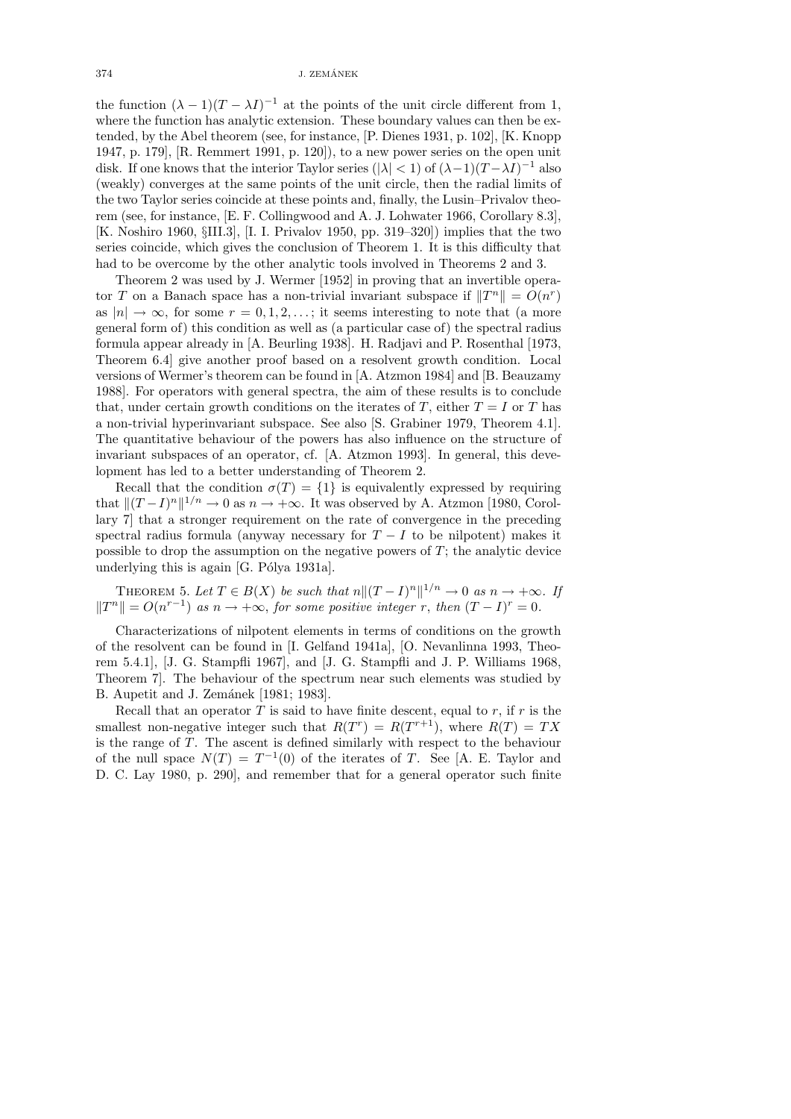the function  $(\lambda - 1)(T - \lambda I)^{-1}$  at the points of the unit circle different from 1, where the function has analytic extension. These boundary values can then be extended, by the Abel theorem (see, for instance, [P. Dienes 1931, p. 102], [K. Knopp 1947, p. 179], [R. Remmert 1991, p. 120]), to a new power series on the open unit disk. If one knows that the interior Taylor series ( $|\lambda| < 1$ ) of  $(\lambda - 1)(T - \lambda I)^{-1}$  also (weakly) converges at the same points of the unit circle, then the radial limits of the two Taylor series coincide at these points and, finally, the Lusin–Privalov theorem (see, for instance, [E. F. Collingwood and A. J. Lohwater 1966, Corollary 8.3], [K. Noshiro 1960, §III.3], [I. I. Privalov 1950, pp. 319–320]) implies that the two series coincide, which gives the conclusion of Theorem 1. It is this difficulty that had to be overcome by the other analytic tools involved in Theorems 2 and 3.

Theorem 2 was used by J. Wermer [1952] in proving that an invertible operator T on a Banach space has a non-trivial invariant subspace if  $||T^n|| = O(n^r)$ as  $|n| \to \infty$ , for some  $r = 0, 1, 2, \ldots$ ; it seems interesting to note that (a more general form of) this condition as well as (a particular case of) the spectral radius formula appear already in [A. Beurling 1938]. H. Radjavi and P. Rosenthal [1973, Theorem 6.4] give another proof based on a resolvent growth condition. Local versions of Wermer's theorem can be found in [A. Atzmon 1984] and [B. Beauzamy 1988]. For operators with general spectra, the aim of these results is to conclude that, under certain growth conditions on the iterates of T, either  $T = I$  or T has a non-trivial hyperinvariant subspace. See also [S. Grabiner 1979, Theorem 4.1]. The quantitative behaviour of the powers has also influence on the structure of invariant subspaces of an operator, cf. [A. Atzmon 1993]. In general, this development has led to a better understanding of Theorem 2.

Recall that the condition  $\sigma(T) = \{1\}$  is equivalently expressed by requiring that  $||(T - I)^n||^{1/n} \to 0$  as  $n \to +\infty$ . It was observed by A. Atzmon [1980, Corollary 7] that a stronger requirement on the rate of convergence in the preceding spectral radius formula (anyway necessary for  $T - I$  to be nilpotent) makes it possible to drop the assumption on the negative powers of  $T$ ; the analytic device underlying this is again  $[G.$  Pólya 1931a].

THEOREM 5. Let  $T \in B(X)$  be such that  $n \|(T - I)^n\|^{1/n} \to 0$  as  $n \to +\infty$ . If  $||T^n|| = O(n^{r-1})$  as  $n \to +\infty$ , for some positive integer r, then  $(T - I)^r = 0$ .

Characterizations of nilpotent elements in terms of conditions on the growth of the resolvent can be found in [I. Gelfand 1941a], [O. Nevanlinna 1993, Theorem 5.4.1], [J. G. Stampfli 1967], and [J. G. Stampfli and J. P. Williams 1968, Theorem 7]. The behaviour of the spectrum near such elements was studied by B. Aupetit and J. Zemánek [1981; 1983].

Recall that an operator  $T$  is said to have finite descent, equal to  $r$ , if  $r$  is the smallest non-negative integer such that  $R(T^r) = R(T^{r+1})$ , where  $R(T) = TX$ is the range of T. The ascent is defined similarly with respect to the behaviour of the null space  $N(T) = T^{-1}(0)$  of the iterates of T. See [A. E. Taylor and D. C. Lay 1980, p. 290], and remember that for a general operator such finite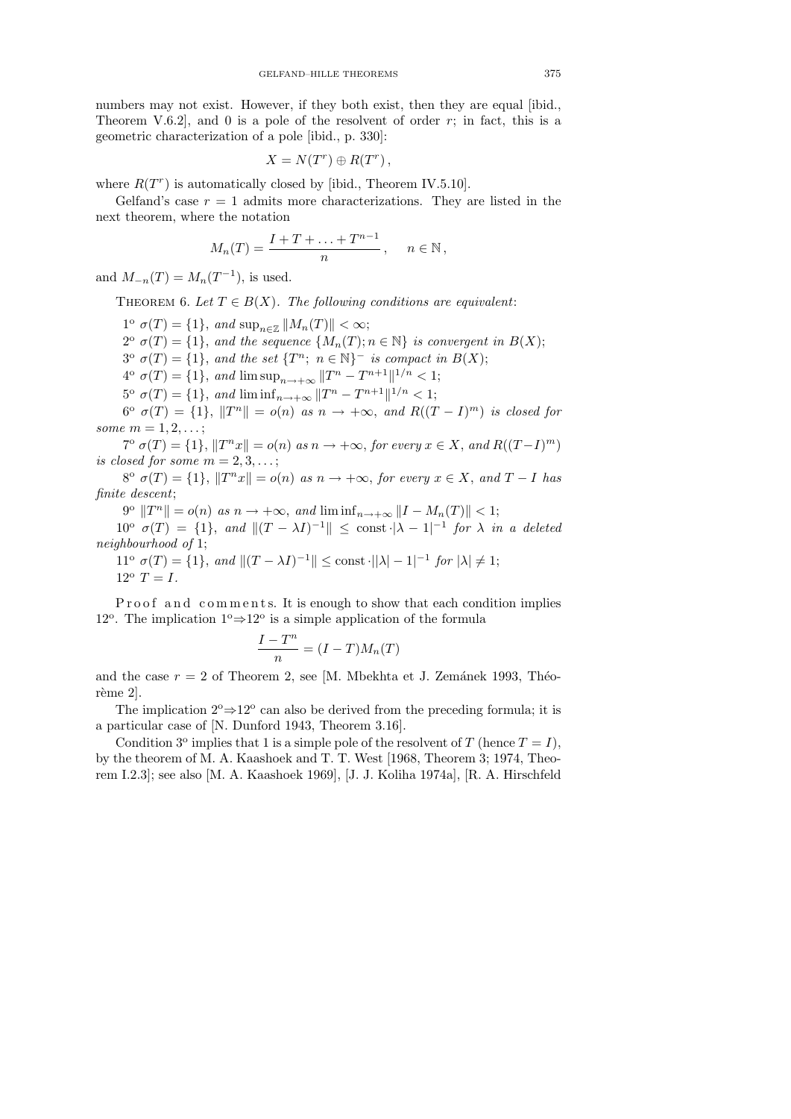numbers may not exist. However, if they both exist, then they are equal [ibid., Theorem V.6.2, and 0 is a pole of the resolvent of order  $r$ ; in fact, this is a geometric characterization of a pole [ibid., p. 330]:

$$
X = N(T^r) \oplus R(T^r) ,
$$

where  $R(T<sup>r</sup>)$  is automatically closed by [ibid., Theorem IV.5.10].

Gelfand's case  $r = 1$  admits more characterizations. They are listed in the next theorem, where the notation

$$
M_n(T) = \frac{I + T + \ldots + T^{n-1}}{n}, \quad n \in \mathbb{N},
$$

and  $M_{-n}(T) = M_n(T^{-1})$ , is used.

THEOREM 6. Let  $T \in B(X)$ . The following conditions are equivalent:

 $1^{\circ} \sigma(T) = \{1\}, \text{ and } \sup_{n \in \mathbb{Z}} ||M_n(T)|| < \infty;$  $2^{\circ} \sigma(T) = \{1\}$ , and the sequence  $\{M_n(T); n \in \mathbb{N}\}\$ is convergent in  $B(X);$  $3^{\circ} \sigma(T) = \{1\}$ , and the set  $\{T^n; n \in \mathbb{N}\}^-$  is compact in  $B(X)$ ;  $4^{\circ} \sigma(T) = \{1\}, \text{ and } \limsup_{n \to +\infty} ||T^n - T^{n+1}||^{1/n} < 1;$ 

 $5^{\circ} \sigma(T) = \{1\}, \text{ and } \liminf_{n \to +\infty} ||T^n - T^{n+1}||^{1/n} < 1;$  $6^{\circ} \sigma(T) = \{1\}, \|T^n\| = o(n)$  as  $n \to +\infty$ , and  $R((T - I)^m)$  is closed for

some  $m = 1, 2, ...;$  $T^{\circ} \sigma(T) = \{1\}, ||T^n x|| = o(n)$  as  $n \to +\infty$ , for every  $x \in X$ , and  $R((T-I)^m)$ 

is closed for some  $m = 2, 3, \ldots;$ 

 $8^{\circ} \sigma(T) = \{1\}, \|T^n x\| = o(n)$  as  $n \to +\infty$ , for every  $x \in X$ , and  $T - I$  has finite descent;

 $9^{\circ} \|T^n\| = o(n) \text{ as } n \to +\infty, \text{ and } \liminf_{n \to +\infty} \|I - M_n(T)\| < 1;$ 

 $10^{\circ} \sigma(T) = \{1\}, \text{ and } ||(T - \lambda I)^{-1}|| \leq \text{const} \cdot |\lambda - 1|^{-1} \text{ for } \lambda \text{ in a deleted}$ neighbourhood of 1;

$$
11^{\circ} \sigma(T) = \{1\}, \text{ and } ||(T - \lambda I)^{-1}|| \le \text{const} \cdot ||\lambda| - 1|^{-1} \text{ for } |\lambda| \ne 1;
$$
  

$$
12^{\circ} T = I.
$$

P roof and comments. It is enough to show that each condition implies 12<sup>o</sup>. The implication  $1^{\circ} \Rightarrow 12^{\circ}$  is a simple application of the formula

$$
\frac{I - T^n}{n} = (I - T)M_n(T)
$$

and the case  $r = 2$  of Theorem 2, see [M. Mbekhta et J. Zemánek 1993, Théorème 2].

The implication  $2^{\circ} \Rightarrow 12^{\circ}$  can also be derived from the preceding formula; it is a particular case of [N. Dunford 1943, Theorem 3.16].

Condition 3<sup>o</sup> implies that 1 is a simple pole of the resolvent of T (hence  $T = I$ ), by the theorem of M. A. Kaashoek and T. T. West [1968, Theorem 3; 1974, Theorem I.2.3]; see also [M. A. Kaashoek 1969], [J. J. Koliha 1974a], [R. A. Hirschfeld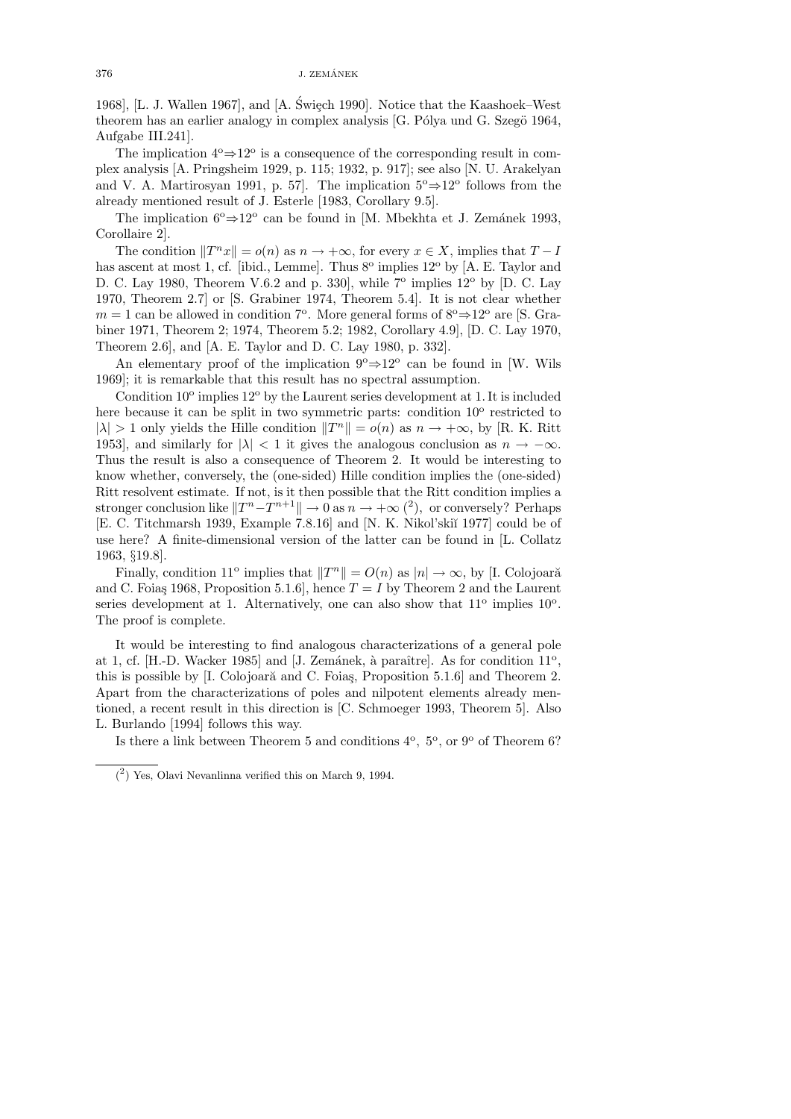$376$  J. ZEMÁNEK

1968], [L. J. Wallen 1967], and  $[A, \text{ \textit{Switch}}\ 1990]$ . Notice that the Kaashoek–West theorem has an earlier analogy in complex analysis [G. Pólya und G. Szegö 1964, Aufgabe III.241].

The implication  $4^{\circ} \Rightarrow 12^{\circ}$  is a consequence of the corresponding result in complex analysis [A. Pringsheim 1929, p. 115; 1932, p. 917]; see also [N. U. Arakelyan and V. A. Martirosyan 1991, p. 57. The implication  $5^{\circ} \Rightarrow 12^{\circ}$  follows from the already mentioned result of J. Esterle [1983, Corollary 9.5].

The implication  $6^{\circ}$  ⇒  $12^{\circ}$  can be found in [M. Mbekhta et J. Zemánek 1993, Corollaire 2].

The condition  $||T^n x|| = o(n)$  as  $n \to +\infty$ , for every  $x \in X$ , implies that  $T - I$ has ascent at most 1, cf. [ibid., Lemme]. Thus 8<sup>o</sup> implies 12<sup>o</sup> by [A. E. Taylor and D. C. Lay 1980, Theorem V.6.2 and p. 330, while  $7^{\circ}$  implies  $12^{\circ}$  by [D. C. Lay 1970, Theorem 2.7] or [S. Grabiner 1974, Theorem 5.4]. It is not clear whether  $m = 1$  can be allowed in condition 7<sup>o</sup>. More general forms of  $8^{\circ} \Rightarrow 12^{\circ}$  are [S. Grabiner 1971, Theorem 2; 1974, Theorem 5.2; 1982, Corollary 4.9], [D. C. Lay 1970, Theorem 2.6], and [A. E. Taylor and D. C. Lay 1980, p. 332].

An elementary proof of the implication  $9^{\circ} \Rightarrow 12^{\circ}$  can be found in [W. Wils 1969]; it is remarkable that this result has no spectral assumption.

Condition  $10^{\circ}$  implies  $12^{\circ}$  by the Laurent series development at 1. It is included here because it can be split in two symmetric parts: condition 10<sup>o</sup> restricted to  $|\lambda| > 1$  only yields the Hille condition  $||T^n|| = o(n)$  as  $n \to +\infty$ , by [R. K. Ritt 1953], and similarly for  $|\lambda| < 1$  it gives the analogous conclusion as  $n \to -\infty$ . Thus the result is also a consequence of Theorem 2. It would be interesting to know whether, conversely, the (one-sided) Hille condition implies the (one-sided) Ritt resolvent estimate. If not, is it then possible that the Ritt condition implies a stronger conclusion like  $||T^n - T^{n+1}|| \to 0$  as  $n \to +\infty$  (<sup>2</sup>), or conversely? Perhaps [E. C. Titchmarsh 1939, Example 7.8.16] and [N. K. Nikol'ski˘ı 1977] could be of use here? A finite-dimensional version of the latter can be found in [L. Collatz 1963, §19.8].

Finally, condition 11<sup>o</sup> implies that  $||T^n|| = O(n)$  as  $|n| \to \infty$ , by [I. Colojoară and C. Foias 1968, Proposition 5.1.6], hence  $T = I$  by Theorem 2 and the Laurent series development at 1. Alternatively, one can also show that  $11^{\circ}$  implies  $10^{\circ}$ . The proof is complete.

It would be interesting to find analogous characterizations of a general pole at 1, cf. [H.-D. Wacker 1985] and [J. Zemánek, à paraître]. As for condition  $11^{\circ}$ , this is possible by  $[I. Colojar\check{a}$  and C. Foias, Proposition 5.1.6] and Theorem 2. Apart from the characterizations of poles and nilpotent elements already mentioned, a recent result in this direction is [C. Schmoeger 1993, Theorem 5]. Also L. Burlando [1994] follows this way.

Is there a link between Theorem 5 and conditions  $4^{\circ}$ ,  $5^{\circ}$ , or  $9^{\circ}$  of Theorem 6?

<sup>(</sup> 2 ) Yes, Olavi Nevanlinna verified this on March 9, 1994.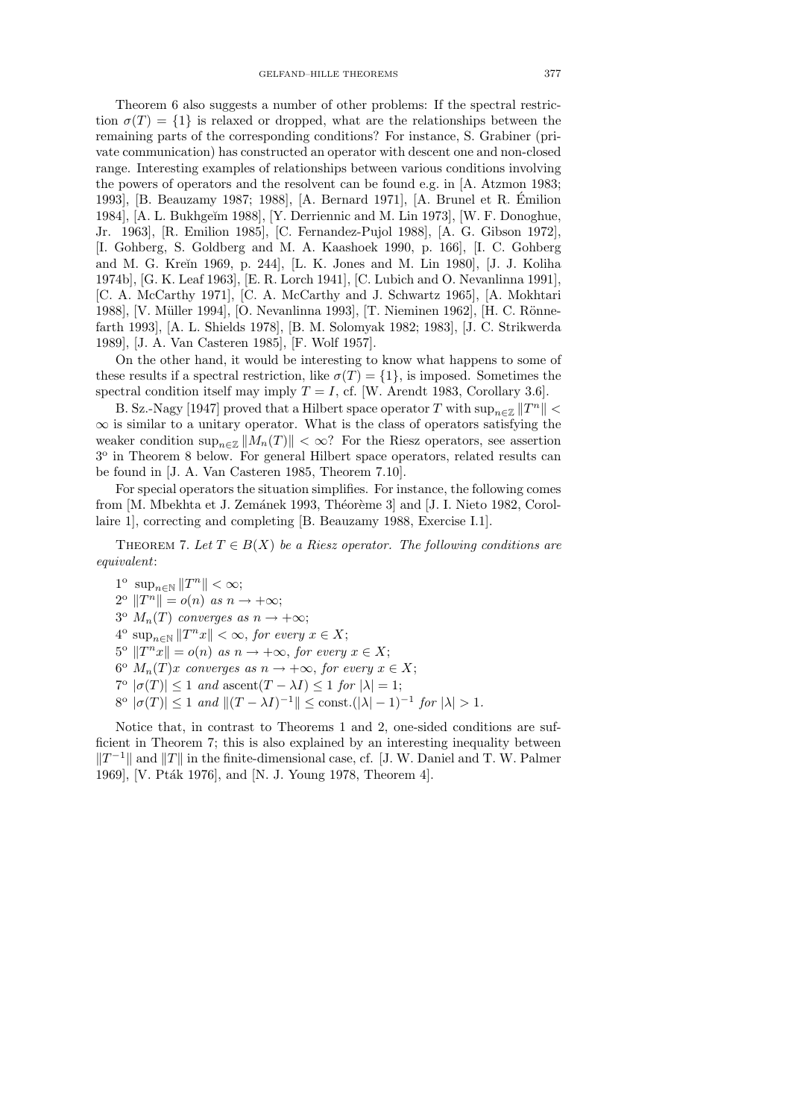Theorem 6 also suggests a number of other problems: If the spectral restriction  $\sigma(T) = \{1\}$  is relaxed or dropped, what are the relationships between the remaining parts of the corresponding conditions? For instance, S. Grabiner (private communication) has constructed an operator with descent one and non-closed range. Interesting examples of relationships between various conditions involving the powers of operators and the resolvent can be found e.g. in [A. Atzmon 1983; 1993], [B. Beauzamy 1987; 1988], [A. Bernard 1971], [A. Brunel et R. Emilion ´ 1984], [A. L. Bukhge˘ım 1988], [Y. Derriennic and M. Lin 1973], [W. F. Donoghue, Jr. 1963], [R. Emilion 1985], [C. Fernandez-Pujol 1988], [A. G. Gibson 1972], [I. Gohberg, S. Goldberg and M. A. Kaashoek 1990, p. 166], [I. C. Gohberg and M. G. Kreĭn 1969, p. 244], [L. K. Jones and M. Lin 1980], [J. J. Koliha 1974b], [G. K. Leaf 1963], [E. R. Lorch 1941], [C. Lubich and O. Nevanlinna 1991], [C. A. McCarthy 1971], [C. A. McCarthy and J. Schwartz 1965], [A. Mokhtari 1988], [V. Müller 1994], [O. Nevanlinna 1993], [T. Nieminen 1962], [H. C. Rönnefarth 1993], [A. L. Shields 1978], [B. M. Solomyak 1982; 1983], [J. C. Strikwerda 1989], [J. A. Van Casteren 1985], [F. Wolf 1957].

On the other hand, it would be interesting to know what happens to some of these results if a spectral restriction, like  $\sigma(T) = \{1\}$ , is imposed. Sometimes the spectral condition itself may imply  $T = I$ , cf. [W. Arendt 1983, Corollary 3.6].

B. Sz.-Nagy [1947] proved that a Hilbert space operator T with  $\sup_{n\in\mathbb{Z}}||T^n|| <$  $\infty$  is similar to a unitary operator. What is the class of operators satisfying the weaker condition  $\sup_{n\in\mathbb{Z}}||M_n(T)|| < \infty$ ? For the Riesz operators, see assertion 3 o in Theorem 8 below. For general Hilbert space operators, related results can be found in [J. A. Van Casteren 1985, Theorem 7.10].

For special operators the situation simplifies. For instance, the following comes from [M. Mbekhta et J. Zemánek 1993, Théorème 3] and [J. I. Nieto 1982, Corollaire 1], correcting and completing [B. Beauzamy 1988, Exercise I.1].

THEOREM 7. Let  $T \in B(X)$  be a Riesz operator. The following conditions are equivalent:

 $1^{\circ} \sup_{n \in \mathbb{N}} ||T^n|| < \infty;$  $2^{\circ}$   $||T^n|| = o(n)$  as  $n \to +\infty;$  $3^{\circ}$   $M_n(T)$  converges as  $n \to +\infty;$  $4^{\circ} \sup_{n \in \mathbb{N}} ||T^n x|| < \infty$ , for every  $x \in X$ ;  $5^{\circ}$   $T^n x$  =  $o(n)$  as  $n \to +\infty$ , for every  $x \in X$ ;  $6^{\circ}$   $M_n(T)x$  converges as  $n \to +\infty$ , for every  $x \in X$ ;  $7^{\circ}$   $|\sigma(T)| \leq 1$  and ascent $(T - \lambda I) \leq 1$  for  $|\lambda| = 1$ ;  $8^{\circ}$   $|\sigma(T)| \leq 1$  and  $||(T - \lambda I)^{-1}|| \leq \text{const.}(|\lambda| - 1)^{-1}$  for  $|\lambda| > 1$ .

Notice that, in contrast to Theorems 1 and 2, one-sided conditions are sufficient in Theorem 7; this is also explained by an interesting inequality between  $||T^{-1}||$  and  $||T||$  in the finite-dimensional case, cf. [J. W. Daniel and T. W. Palmer 1969], [V. Pták 1976], and [N. J. Young 1978, Theorem 4].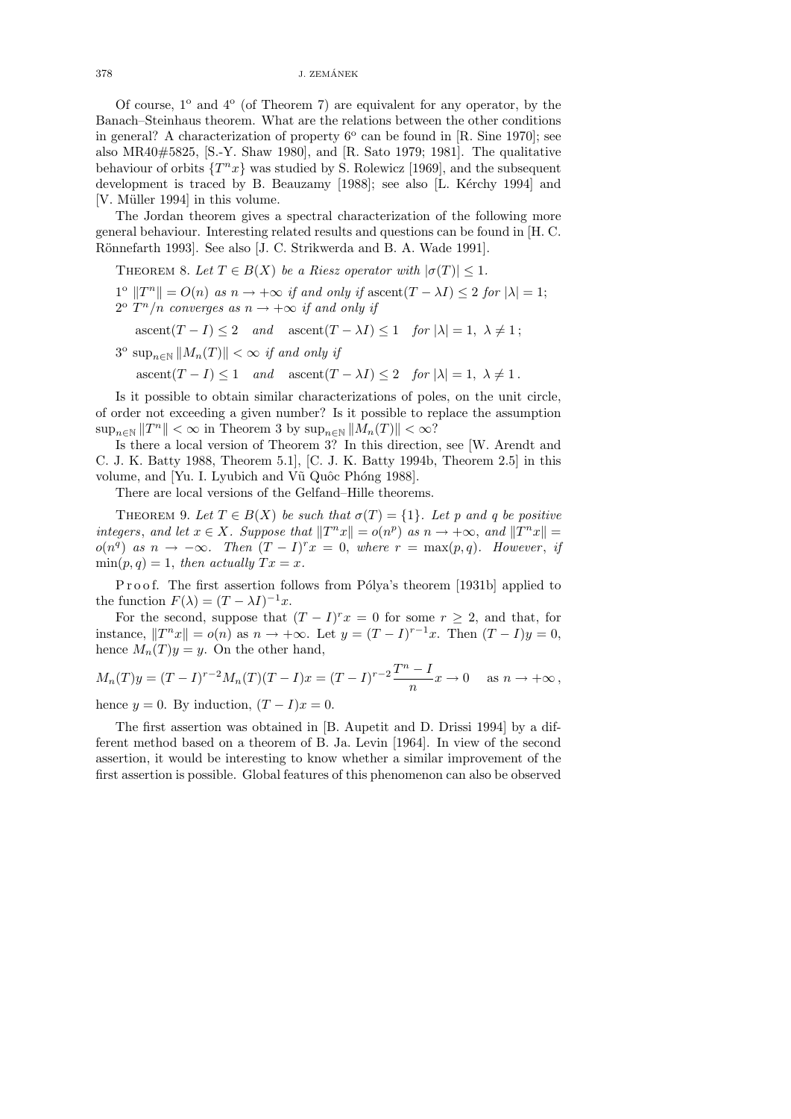$378$  J. ZEMÁNEK  $_\mathrm{J}$ 

Of course,  $1^{\circ}$  and  $4^{\circ}$  (of Theorem 7) are equivalent for any operator, by the Banach–Steinhaus theorem. What are the relations between the other conditions in general? A characterization of property  $6^{\circ}$  can be found in [R. Sine 1970]; see also MR40#5825, [S.-Y. Shaw 1980], and [R. Sato 1979; 1981]. The qualitative behaviour of orbits  $\{T^n x\}$  was studied by S. Rolewicz [1969], and the subsequent development is traced by B. Beauzamy [1988]; see also [L. Kérchy 1994] and [V. Müller 1994] in this volume.

The Jordan theorem gives a spectral characterization of the following more general behaviour. Interesting related results and questions can be found in [H. C. Rönnefarth 1993]. See also [J. C. Strikwerda and B. A. Wade 1991].

THEOREM 8. Let  $T \in B(X)$  be a Riesz operator with  $|\sigma(T)| \leq 1$ .

 $1^{\circ}$   $||T^n|| = O(n)$  as  $n \to +\infty$  if and only if ascent $(T - \lambda I) \leq 2$  for  $|\lambda| = 1$ ;  $2^{\circ} T^n/n$  converges as  $n \to +\infty$  if and only if

 $\operatorname{assert}(T - I) \leq 2$  and  $\operatorname{assert}(T - \lambda I) \leq 1$  for  $|\lambda| = 1, \lambda \neq 1$ ;

 $3^{\circ} \sup_{n \in \mathbb{N}} ||M_n(T)|| < \infty$  if and only if

 $\operatorname{assert}(T - I) \leq 1$  and  $\operatorname{assert}(T - \lambda I) \leq 2$  for  $|\lambda| = 1, \lambda \neq 1$ .

Is it possible to obtain similar characterizations of poles, on the unit circle, of order not exceeding a given number? Is it possible to replace the assumption  $\sup_{n\in\mathbb{N}}||T^n|| < \infty$  in Theorem 3 by  $\sup_{n\in\mathbb{N}}||M_n(T)|| < \infty$ ?

Is there a local version of Theorem 3? In this direction, see [W. Arendt and C. J. K. Batty 1988, Theorem 5.1], [C. J. K. Batty 1994b, Theorem 2.5] in this volume, and [Yu. I. Lyubich and Vũ Quốc Phóng 1988].

There are local versions of the Gelfand–Hille theorems.

THEOREM 9. Let  $T \in B(X)$  be such that  $\sigma(T) = \{1\}$ . Let p and q be positive integers, and let  $x \in X$ . Suppose that  $||T^n x|| = o(n^p)$  as  $n \to +\infty$ , and  $||T^n x|| =$  $o(n^q)$  as  $n \to -\infty$ . Then  $(T - I)^r x = 0$ , where  $r = \max(p, q)$ . However, if  $\min(p,q) = 1$ , then actually  $Tx = x$ .

P r o o f. The first assertion follows from Pólya's theorem [1931b] applied to the function  $F(\lambda) = (T - \lambda I)^{-1}x$ .

For the second, suppose that  $(T - I)^r x = 0$  for some  $r \geq 2$ , and that, for instance,  $||T^n x|| = o(n)$  as  $n \to +\infty$ . Let  $y = (T - I)^{r-1}x$ . Then  $(T - I)y = 0$ , hence  $M_n(T)y = y$ . On the other hand,

$$
M_n(T)y = (T - I)^{r-2}M_n(T)(T - I)x = (T - I)^{r-2}\frac{T^n - I}{n}x \to 0
$$
 as  $n \to +\infty$ ,

hence  $y = 0$ . By induction,  $(T - I)x = 0$ .

The first assertion was obtained in [B. Aupetit and D. Drissi 1994] by a different method based on a theorem of B. Ja. Levin [1964]. In view of the second assertion, it would be interesting to know whether a similar improvement of the first assertion is possible. Global features of this phenomenon can also be observed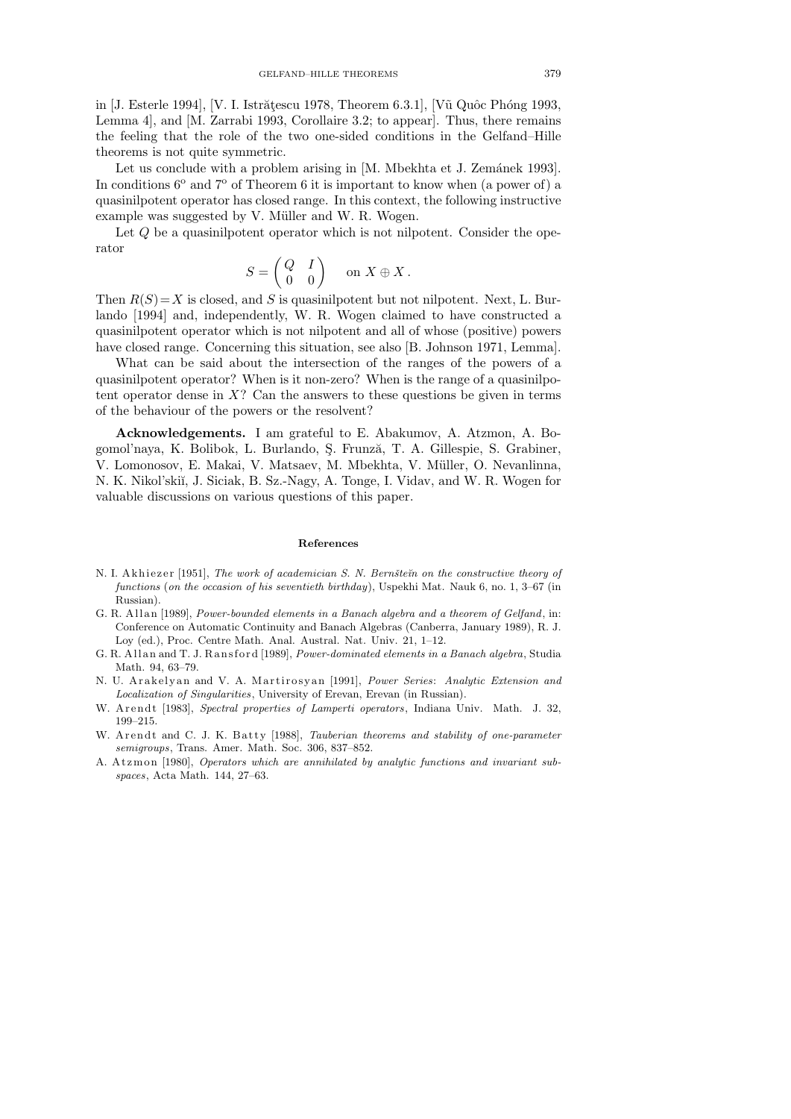in [J. Esterle 1994], [V. I. Istrățescu 1978, Theorem 6.3.1], [Vũ Quôc Phóng 1993, Lemma 4], and [M. Zarrabi 1993, Corollaire 3.2; to appear]. Thus, there remains the feeling that the role of the two one-sided conditions in the Gelfand–Hille theorems is not quite symmetric.

Let us conclude with a problem arising in [M. Mbekhta et J. Zemánek 1993]. In conditions  $6^{\circ}$  and  $7^{\circ}$  of Theorem 6 it is important to know when (a power of) a quasinilpotent operator has closed range. In this context, the following instructive example was suggested by V. Müller and W. R. Wogen.

Let  $Q$  be a quasinilpotent operator which is not nilpotent. Consider the operator

$$
S = \begin{pmatrix} Q & I \\ 0 & 0 \end{pmatrix} \quad \text{ on } X \oplus X \, .
$$

Then  $R(S) = X$  is closed, and S is quasinilpotent but not nilpotent. Next, L. Burlando [1994] and, independently, W. R. Wogen claimed to have constructed a quasinilpotent operator which is not nilpotent and all of whose (positive) powers have closed range. Concerning this situation, see also [B. Johnson 1971, Lemma].

What can be said about the intersection of the ranges of the powers of a quasinilpotent operator? When is it non-zero? When is the range of a quasinilpotent operator dense in  $X$ ? Can the answers to these questions be given in terms of the behaviour of the powers or the resolvent?

Acknowledgements. I am grateful to E. Abakumov, A. Atzmon, A. Bogomol'naya, K. Bolibok, L. Burlando, Ş. Frunză, T. A. Gillespie, S. Grabiner, V. Lomonosov, E. Makai, V. Matsaev, M. Mbekhta, V. Müller, O. Nevanlinna, N. K. Nikol'skiĭ, J. Siciak, B. Sz.-Nagy, A. Tonge, I. Vidav, and W. R. Wogen for valuable discussions on various questions of this paper.

## **References**

- N. I. A k hi e zer [1951], *The work of academician S. N. Bernšte* $\tilde{m}$  on the constructive theory of *functions* (*on the occasion of his seventieth birthday*), Uspekhi Mat. Nauk 6, no. 1, 3–67 (in Russian).
- G. R. Allan [1989], *Power-bounded elements in a Banach algebra and a theorem of Gelfand*, in: Conference on Automatic Continuity and Banach Algebras (Canberra, January 1989), R. J. Loy (ed.), Proc. Centre Math. Anal. Austral. Nat. Univ. 21, 1–12.
- G. R. Allan and T. J. Ransford [1989], *Power-dominated elements in a Banach algebra*, Studia Math. 94, 63–79.
- N. U. A rakelyan and V. A. Martirosyan [1991], *Power Series: Analytic Extension and Localization of Singularities*, University of Erevan, Erevan (in Russian).
- W. Arendt [1983], *Spectral properties of Lamperti operators*, Indiana Univ. Math. J. 32, 199–215.
- W. A r endt and C. J. K. Batty [1988], *Tauberian theorems and stability of one-parameter semigroups*, Trans. Amer. Math. Soc. 306, 837–852.
- A. Atzmon [1980], *Operators which are annihilated by analytic functions and invariant subspaces*, Acta Math. 144, 27–63.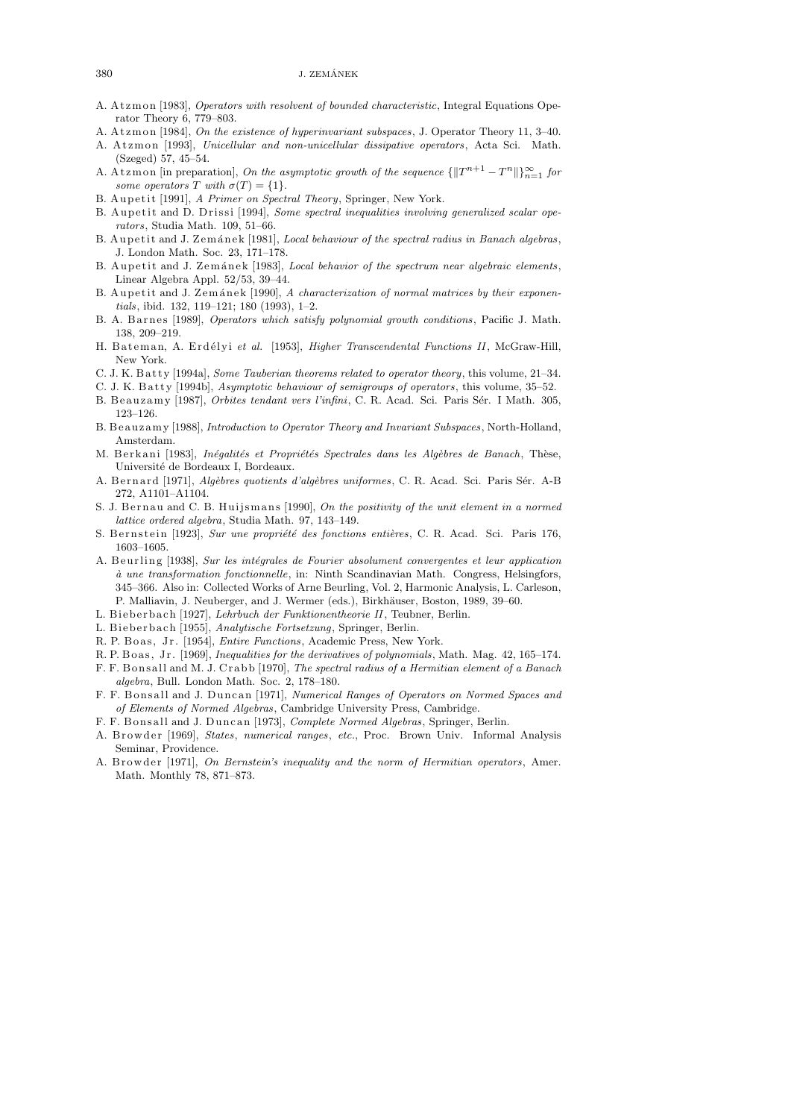- A. A t z m on [1983], *Operators with resolvent of bounded characteristic*, Integral Equations Operator Theory 6, 779–803.
- A. A t z m on [1984], *On the existence of hyperinvariant subspaces*, J. Operator Theory 11, 3–40. A. Atzmon [1993], *Unicellular and non-unicellular dissipative operators*, Acta Sci. Math.
- (Szeged) 57, 45–54.
- A. At zm on [in preparation], *On the asymptotic growth of the sequence*  $\{||T^{n+1} T^n||\}_{n=1}^{\infty}$  for *some operators T* with  $\sigma(T) = \{1\}$ .
- B. Aupetit [1991], *A Primer on Spectral Theory*, Springer, New York.
- B. Aupetit and D. Drissi [1994], *Some spectral inequalities involving generalized scalar operators*, Studia Math. 109, 51–66.
- B. Aupetit and J. Zemánek [1981], *Local behaviour of the spectral radius in Banach algebras*, J. London Math. Soc. 23, 171–178.
- B. Aupetit and J. Zemánek [1983], *Local behavior of the spectrum near algebraic elements*, Linear Algebra Appl. 52/53, 39–44.
- B. Aupetit and J. Zemánek [1990], *A characterization of normal matrices by their exponentials*, ibid. 132, 119–121; 180 (1993), 1–2.
- B. A. B a r n e s [1989], *Operators which satisfy polynomial growth conditions* , Pacific J. Math. 138, 209–219.
- H. Bateman, A. Erdélyi et al. [1953], *Higher Transcendental Functions II*, McGraw-Hill, New York.
- C. J. K. Batty [1994a], *Some Tauberian theorems related to operator theory*, this volume, 21–34.
- C. J. K. Batty [1994b], *Asymptotic behaviour of semigroups of operators*, this volume, 35–52.
- B. Beauzamy [1987], *Orbites tendant vers l'infini*, C. R. Acad. Sci. Paris Sér. I Math. 305, 123–126.
- B. B e a u z am y [1988], *Introduction to Operator Theory and Invariant Subspaces* , North-Holland, Amsterdam.
- M. B er k ani [1983], *Inégalités et Propriétés Spectrales dans les Algèbres de Banach*, Thèse, Universit´e de Bordeaux I, Bordeaux.
- A. B ern ard [1971], *Algèbres quotients d'algèbres uniformes*, C. R. Acad. Sci. Paris Sér. A-B 272, A1101–A1104.
- S. J. Bernau and C. B. Huijsmans [1990], *On the positivity of the unit element in a normed lattice ordered algebra*, Studia Math. 97, 143–149.
- S. Bernstein [1923], *Sur une propriété des fonctions entières*, C. R. Acad. Sci. Paris 176, 1603–1605.
- A. Beurling [1938], *Sur les intégrales de Fourier absolument convergentes et leur application `a une transformation fonctionnelle*, in: Ninth Scandinavian Math. Congress, Helsingfors, 345–366. Also in: Collected Works of Arne Beurling, Vol. 2, Harmonic Analysis, L. Carleson, P. Malliavin, J. Neuberger, and J. Wermer (eds.), Birkhäuser, Boston, 1989, 39–60.
- L. Bieberbach [1927], *Lehrbuch der Funktionentheorie II*, Teubner, Berlin.
- L. Bieberbach [1955], *Analytische Fortsetzung*, Springer, Berlin.
- R. P. Boas, Jr. [1954], *Entire Functions*, Academic Press, New York.
- R. P. B o a s, J r. [1969], *Inequalities for the derivatives of polynomials*, Math. Mag. 42, 165–174.
- F. F. B o n s all and M. J. C r a b b [1970], *The spectral radius of a Hermitian element of a Banach algebra*, Bull. London Math. Soc. 2, 178–180.
- F. F. Bonsall and J. Duncan [1971], *Numerical Ranges of Operators on Normed Spaces and of Elements of Normed Algebras*, Cambridge University Press, Cambridge.
- F. F. B o n s all and J. D u n c a n [1973], *Complete Normed Algebras*, Springer, Berlin.
- A. B r ow d e r [1969], *States*, *numerical ranges*, *etc.*, Proc. Brown Univ. Informal Analysis Seminar, Providence.
- A. Browder [1971], *On Bernstein's inequality and the norm of Hermitian operators*, Amer. Math. Monthly 78, 871–873.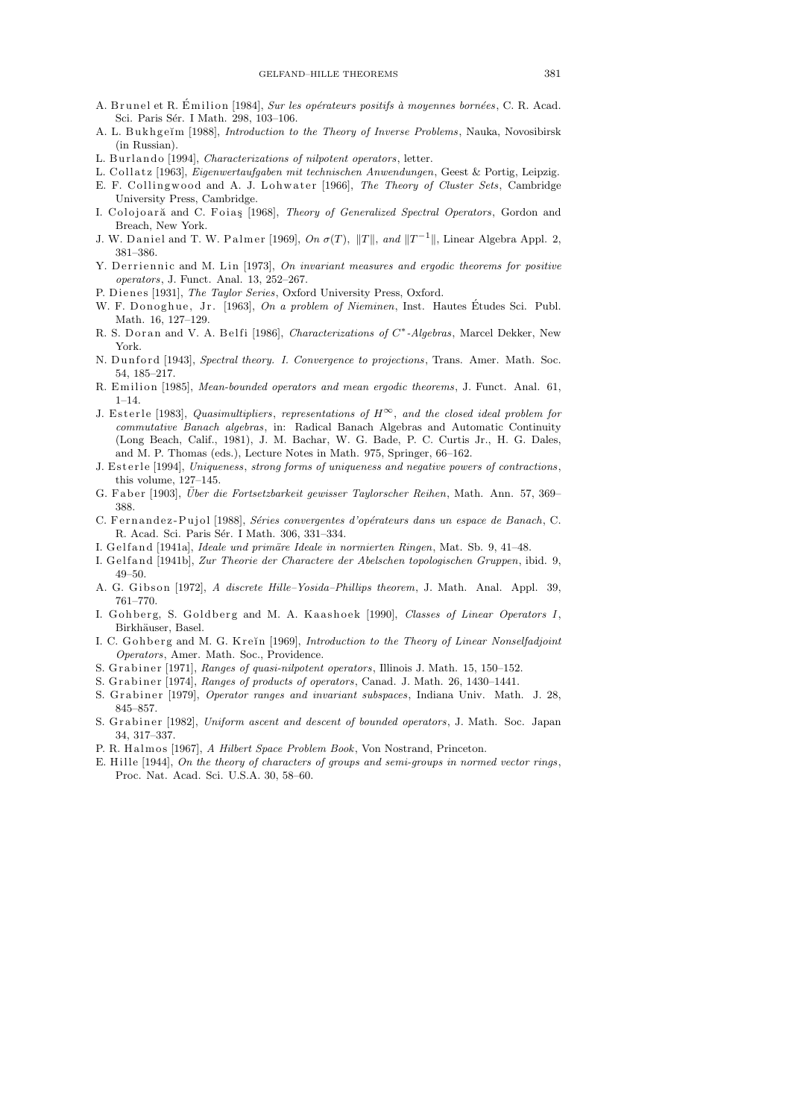- A. Brunel et R. Émilion [1984], Sur les opérateurs positifs à moyennes bornées, C. R. Acad. Sci. Paris Sér. I Math. 298, 103-106.
- A. L. Bukhgeĭm [1988], *Introduction to the Theory of Inverse Problems*, Nauka, Novosibirsk (in Russian).
- L. Burlando [1994], *Characterizations of nilpotent operators*, letter.
- L. C oll a t z [1963], *Eigenwertaufgaben mit technischen Anwendungen*, Geest & Portig, Leipzig.
- E. F. Collingwood and A. J. Lohwater [1966], *The Theory of Cluster Sets*, Cambridge University Press, Cambridge.
- I. Colojoară and C. Foias [1968], *Theory of Generalized Spectral Operators*, Gordon and Breach, New York.
- J. W. Daniel and T. W. Palmer [1969],  $On\ \sigma(T),\ \|T\|, \ and\ \|T^{-1}\|,$  Linear Algebra Appl. 2, 381–386.
- Y. Derriennic and M. Lin [1973], *On invariant measures and ergodic theorems for positive operators*, J. Funct. Anal. 13, 252–267.
- P. Dienes [1931], *The Taylor Series*, Oxford University Press, Oxford.
- W. F. D on og hue, Jr. [1963], *On a problem of Nieminen*, Inst. Hautes Études Sci. Publ. Math. 16, 127–129.
- R. S. Dor an and V. A. Belfi [1986], *Characterizations of*  $C^*$ -Algebras, Marcel Dekker, New York.
- N. Dunford [1943], *Spectral theory. I. Convergence to projections*, Trans. Amer. Math. Soc. 54, 185–217.
- R. Emilion [1985], *Mean-bounded operators and mean ergodic theorems*, J. Funct. Anal. 61,  $1 - 14$ .
- J. E s t e rl e [1983], *Quasimultipliers*, *representations of H <sup>∞</sup>*, *and the closed ideal problem for commutative Banach algebras*, in: Radical Banach Algebras and Automatic Continuity (Long Beach, Calif., 1981), J. M. Bachar, W. G. Bade, P. C. Curtis Jr., H. G. Dales, and M. P. Thomas (eds.), Lecture Notes in Math. 975, Springer, 66–162.
- J. Esterle [1994], *Uniqueness*, *strong forms of uniqueness and negative powers of contractions*, this volume, 127–145.
- G. Faber [1903], *Über die Fortsetzbarkeit gewisser Taylorscher Reihen*, Math. Ann. 57, 369– 388.
- C. Fernandez-Pujol [1988], *Séries convergentes d'opérateurs dans un espace de Banach*, C. R. Acad. Sci. Paris Sér. I Math. 306, 331-334.
- I. G el f and [1941a], *Ideale und primäre Ideale in normierten Ringen*, Mat. Sb. 9, 41–48.
- I. Gelfand [1941b], *Zur Theorie der Charactere der Abelschen topologischen Gruppen*, ibid. 9, 49–50.
- A. G. Gi b s o n [1972], *A discrete Hille–Yosida–Phillips theorem*, J. Math. Anal. Appl. 39, 761–770.
- I. Gohberg, S. Goldberg and M. A. Kaashoek [1990], *Classes of Linear Operators I*, Birkhäuser, Basel.
- I. C. Gohberg and M. G. Krein [1969], *Introduction to the Theory of Linear Nonselfadjoint Operators*, Amer. Math. Soc., Providence.
- S. Grabiner [1971], *Ranges of quasi-nilpotent operators*, Illinois J. Math. 15, 150–152.
- S. Grabiner [1974], *Ranges of products of operators*, Canad. J. Math. 26, 1430–1441. S. Grabiner [1979], *Operator ranges and invariant subspaces*, Indiana Univ. Math. J. 28, 845–857.
- S. Grabiner [1982], *Uniform ascent and descent of bounded operators*, J. Math. Soc. Japan 34, 317–337.
- P. R. Halmos [1967], *A Hilbert Space Problem Book*, Von Nostrand, Princeton.
- E. Hill e [1944], *On the theory of characters of groups and semi-groups in normed vector rings* , Proc. Nat. Acad. Sci. U.S.A. 30, 58–60.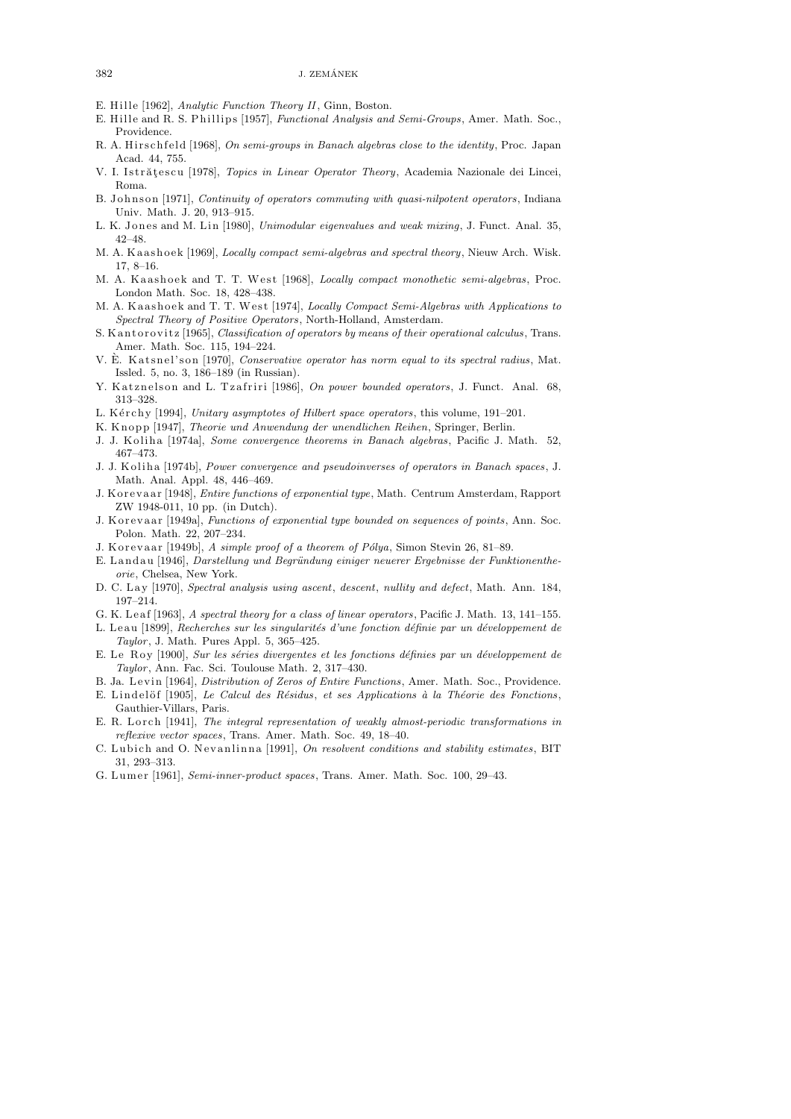- E. Hille [1962], *Analytic Function Theory II*, Ginn, Boston.
- E. Hille and R. S. Phillips [1957], *Functional Analysis and Semi-Groups*, Amer. Math. Soc., Providence.
- R. A. Hirschfeld [1968], *On semi-groups in Banach algebras close to the identity*, Proc. Japan Acad. 44, 755.
- V. I. Istrătescu [1978], *Topics in Linear Operator Theory*, Academia Nazionale dei Lincei, Roma.
- B. Johnson [1971], *Continuity of operators commuting with quasi-nilpotent operators*, Indiana Univ. Math. J. 20, 913–915.
- L. K. Jones and M. Lin [1980], *Unimodular eigenvalues and weak mixing*, J. Funct. Anal. 35, 42–48.
- M. A. Kaashoek [1969], *Locally compact semi-algebras and spectral theory*, Nieuw Arch. Wisk. 17, 8–16.
- M. A. Kaashoek and T. T. West [1968], *Locally compact monothetic semi-algebras*, Proc. London Math. Soc. 18, 428–438.
- M. A. Kaashoek and T. T. West [1974], *Locally Compact Semi-Algebras with Applications to Spectral Theory of Positive Operators*, North-Holland, Amsterdam.
- S. K antorovitz [1965], *Classification of operators by means of their operational calculus*, Trans. Amer. Math. Soc. 115, 194–224.
- V. È. Katsnel'son [1970], *Conservative operator has norm equal to its spectral radius*, Mat. Issled. 5, no. 3, 186–189 (in Russian).
- Y. Katznelson and L. Tzafriri [1986], *On power bounded operators*, J. Funct. Anal. 68, 313–328.
- L. Kérchy [1994], *Unitary asymptotes of Hilbert space operators*, this volume, 191–201.
- K. Knopp [1947], *Theorie und Anwendung der unendlichen Reihen*, Springer, Berlin.
- J. J. K oli h a [1974a], *Some convergence theorems in Banach algebras*, Pacific J. Math. 52, 467–473.
- J. J. K oli h a [1974b], *Power convergence and pseudoinverses of operators in Banach spaces* , J. Math. Anal. Appl. 48, 446–469.
- J. K o r e v a a r [1948], *Entire functions of exponential type*, Math. Centrum Amsterdam, Rapport ZW 1948-011, 10 pp. (in Dutch).
- J. K or evaar [1949a], *Functions of exponential type bounded on sequences of points*, Ann. Soc. Polon. Math. 22, 207–234.
- J. K or evaar [1949b], *A simple proof of a theorem of Pólya*, Simon Stevin 26, 81–89.
- E. Landau [1946], *Darstellung und Begründung einiger neuerer Ergebnisse der Funktionentheorie*, Chelsea, New York.
- D. C. Lay [1970], *Spectral analysis using ascent*, *descent*, *nullity and defect*, Math. Ann. 184, 197–214.
- G. K. L e a f [1963], *A spectral theory for a class of linear operators*, Pacific J. Math. 13, 141–155.
- L. Leau [1899], *Recherches sur les singularités d'une fonction définie par un développement de Taylor* , J. Math. Pures Appl. 5, 365–425.
- E. Le Roy [1900], *Sur les séries divergentes et les fonctions définies par un développement de Taylor* , Ann. Fac. Sci. Toulouse Math. 2, 317–430.
- B. Ja. Levin [1964], *Distribution of Zeros of Entire Functions*, Amer. Math. Soc., Providence.
- E. Lindelöf [1905], *Le Calcul des Résidus*, *et ses Applications à la Théorie des Fonctions*, Gauthier-Villars, Paris.
- E. R. Lorch [1941], *The integral representation of weakly almost-periodic transformations in reflexive vector spaces*, Trans. Amer. Math. Soc. 49, 18–40.
- C. Lubich and O. Nevanlinna [1991], On resolvent conditions and stability estimates, BIT 31, 293–313.
- G. L um e r [1961], *Semi-inner-product spaces*, Trans. Amer. Math. Soc. 100, 29–43.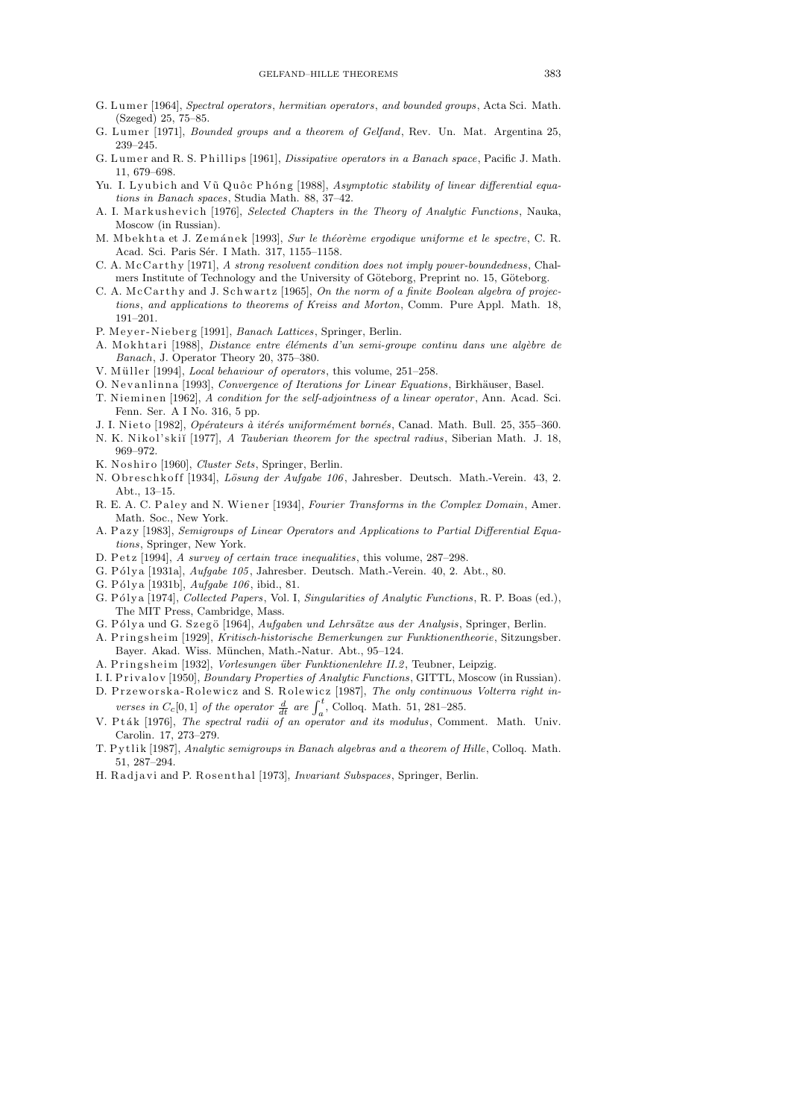- G. L um e r [1964], *Spectral operators*, *hermitian operators*, *and bounded groups*, Acta Sci. Math. (Szeged) 25, 75–85.
- G. Lumer [1971], *Bounded groups and a theorem of Gelfand*, Rev. Un. Mat. Argentina 25, 239–245.
- G. Lumer and R. S. Phillips [1961], *Dissipative operators in a Banach space*, Pacific J. Math. 11, 679–698.
- Yu. I. Lyubich and Vũ Quốc Phóng [1988], Asymptotic stability of linear differential equa*tions in Banach spaces*, Studia Math. 88, 37–42.
- A. I. Markushevich [1976], *Selected Chapters in the Theory of Analytic Functions*, Nauka, Moscow (in Russian).
- M. M b e k h t a et J. Z em án e k [1993], *Sur le théorème ergodique uniforme et le spectre*, C. R. Acad. Sci. Paris Sér. I Math. 317, 1155–1158.
- C. A. McCarthy [1971], *A strong resolvent condition does not imply power-boundedness*, Chalmers Institute of Technology and the University of Göteborg, Preprint no. 15, Göteborg.
- C. A. McCarthy and J. Schwartz [1965], *On the norm of a finite Boolean algebra of projections*, *and applications to theorems of Kreiss and Morton*, Comm. Pure Appl. Math. 18, 191–201.
- P. Meyer-Nieberg [1991], *Banach Lattices*, Springer, Berlin.
- A. M okhtari [1988], *Distance entre éléments d'un semi-groupe continu dans une algèbre de Banach*, J. Operator Theory 20, 375–380.
- V. Müller [1994], *Local behaviour of operators*, this volume, 251-258.
- O. Nevanlinna [1993], *Convergence of Iterations for Linear Equations*, Birkhäuser, Basel.
- T. Nieminen [1962], *A condition for the self-adjointness of a linear operator*, Ann. Acad. Sci. Fenn. Ser. A I No. 316, 5 pp.
- J. I. Nieto [1982], *Opérateurs à itérés uniformément bornés*, Canad. Math. Bull. 25, 355–360.
- N. K. Nikol'skiĭ [1977], *A Tauberian theorem for the spectral radius*, Siberian Math. J. 18, 969–972.
- K. Noshiro [1960], *Cluster Sets*, Springer, Berlin.
- N. O breschk of f [1934], *Lösung der Aufgabe 106*, Jahresber. Deutsch. Math.-Verein. 43, 2. Abt., 13–15.
- R. E. A. C. Paley and N. Wiener [1934], *Fourier Transforms in the Complex Domain*, Amer. Math. Soc., New York.
- A. Pazy [1983], *Semigroups of Linear Operators and Applications to Partial Differential Equations*, Springer, New York.
- D. Petz [1994], *A survey of certain trace inequalities*, this volume, 287-298.
- G. Pólya [1931a], *Aufgabe 105*, Jahresber. Deutsch. Math.-Verein. 40, 2. Abt., 80.
- G. Pólya [1931b], *Aufgabe 106*, ibid., 81.
- G. Pólya [1974], *Collected Papers*, Vol. I, *Singularities of Analytic Functions*, R. P. Boas (ed.), The MIT Press, Cambridge, Mass.
- G. Pólya und G. Szegö [1964], *Aufgaben und Lehrsätze aus der Analysis*, Springer, Berlin.
- A. P ri n g s h eim [1929], *Kritisch-historische Bemerkungen zur Funktionentheorie*, Sitzungsber. Bayer. Akad. Wiss. München, Math.-Natur. Abt., 95-124.
- A. Pringsheim [1932], *Vorlesungen über Funktionenlehre II.2*, Teubner, Leipzig.
- I. I. P ri v al o v [1950], *Boundary Properties of Analytic Functions*, GITTL, Moscow (in Russian).
- D. Przeworska-Rolewicz and S. Rolewicz [1987], *The only continuous Volterra right inverses in*  $C_c[0,1]$  *of the operator*  $\frac{d}{dt}$  *are*  $\int_a^t$ , Colloq. Math. 51, 281–285.
- V. Pták [1976], *The spectral radii of an operator and its modulus*, Comment. Math. Univ. Carolin. 17, 273–279.
- T. P y tli k [1987], *Analytic semigroups in Banach algebras and a theorem of Hille*, Colloq. Math. 51, 287–294.
- H. Radjavi and P. Rosenthal [1973], *Invariant Subspaces*, Springer, Berlin.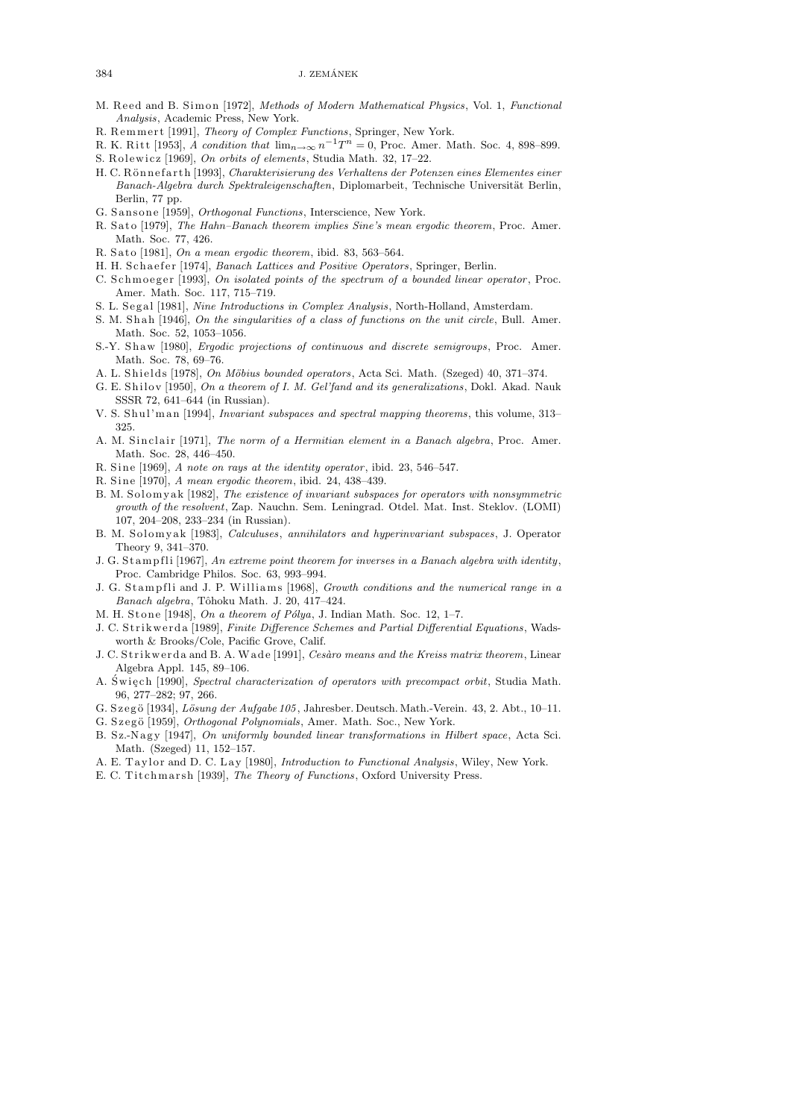${\rm J.~ZEM\acute{A}NEK}$ 

- M. Reed and B. Simon [1972], *Methods of Modern Mathematical Physics*, Vol. 1, *Functional Analysis*, Academic Press, New York.
- R. Remmert [1991], *Theory of Complex Functions*, Springer, New York.
- R. K. Ritt [1953], *A condition that*  $\lim_{n\to\infty} n^{-1}T^n = 0$ , Proc. Amer. Math. Soc. 4, 898–899.
- S. R ol ewi c z [1969], *On orbits of elements*, Studia Math. 32, 17–22.
- H. C. Rönnefarth [1993], *Charakterisierung des Verhaltens der Potenzen eines Elementes einer* Banach-Algebra durch Spektraleigenschaften, Diplomarbeit, Technische Universität Berlin, Berlin, 77 pp.
- G. Sansone [1959], *Orthogonal Functions*, Interscience, New York.
- R. Sato [1979], *The Hahn-Banach theorem implies Sine's mean ergodic theorem*, Proc. Amer. Math. Soc. 77, 426.
- R. Sato [1981], *On a mean ergodic theorem*, ibid. 83, 563-564.
- H. H. Schaefer [1974], *Banach Lattices and Positive Operators*, Springer, Berlin.
- C. Schmoeger [1993], *On isolated points of the spectrum of a bounded linear operator*, Proc. Amer. Math. Soc. 117, 715–719.
- S. L. S e g al [1981], *Nine Introductions in Complex Analysis*, North-Holland, Amsterdam.
- S. M. Shah [1946], *On the singularities of a class of functions on the unit circle*, Bull. Amer. Math. Soc. 52, 1053–1056.
- S.-Y. S h aw [1980], *Ergodic projections of continuous and discrete semigroups* , Proc. Amer. Math. Soc. 78, 69–76.
- A. L. Shields [1978], *On Möbius bounded operators*, Acta Sci. Math. (Szeged) 40, 371-374.
- G. E. Shilov [1950], *On a theorem of I. M. Gel'fand and its generalizations*, Dokl. Akad. Nauk SSSR 72, 641–644 (in Russian).
- V. S. S h ul'm a n [1994], *Invariant subspaces and spectral mapping theorems* , this volume, 313– 325.
- A. M. Sinclair [1971], *The norm of a Hermitian element in a Banach algebra*, Proc. Amer. Math. Soc. 28, 446–450.
- R. Sine [1969], *A note on rays at the identity operator*, ibid. 23, 546–547.
- R. Sine [1970], *A mean ergodic theorem*, ibid. 24, 438-439.
- B. M. Solomyak [1982], *The existence of invariant subspaces for operators with nonsymmetric growth of the resolvent*, Zap. Nauchn. Sem. Leningrad. Otdel. Mat. Inst. Steklov. (LOMI) 107, 204–208, 233–234 (in Russian).
- B. M. S ol om y a k [1983], *Calculuses*, *annihilators and hyperinvariant subspaces*, J. Operator Theory 9, 341–370.
- J. G. S t am p fli [1967], *An extreme point theorem for inverses in a Banach algebra with identity*, Proc. Cambridge Philos. Soc. 63, 993–994.
- J. G. S t am p fli and J. P. Willi am s [1968], *Growth conditions and the numerical range in a Banach algebra*, Tôhoku Math. J. 20, 417-424.
- M. H. Stone [1948], *On a theorem of Pólya*, J. Indian Math. Soc. 12, 1-7.
- J. C. Strikwerda [1989], *Finite Difference Schemes and Partial Differential Equations*, Wadsworth & Brooks/Cole, Pacific Grove, Calif.
- J. C. S t ri kw e r d a and B. A. W a d e [1991], *Ces`aro means and the Kreiss matrix theorem*, Linear Algebra Appl. 145, 89–106.
- A. Swiech [1990], *Spectral characterization of operators with precompact orbit*, Studia Math. 96, 277–282; 97, 266.
- G. Szegö [1934], *Lösung der Aufgabe 105*, Jahresber. Deutsch. Math.-Verein. 43, 2. Abt., 10–11.
- G. Szegö [1959], *Orthogonal Polynomials*, Amer. Math. Soc., New York.
- B. Sz.-Nagy [1947], *On uniformly bounded linear transformations in Hilbert space*, Acta Sci. Math. (Szeged) 11, 152–157.
- A. E. Taylor and D. C. Lay [1980], *Introduction to Functional Analysis*, Wiley, New York.
- E. C. Titchmarsh [1939], *The Theory of Functions*, Oxford University Press.